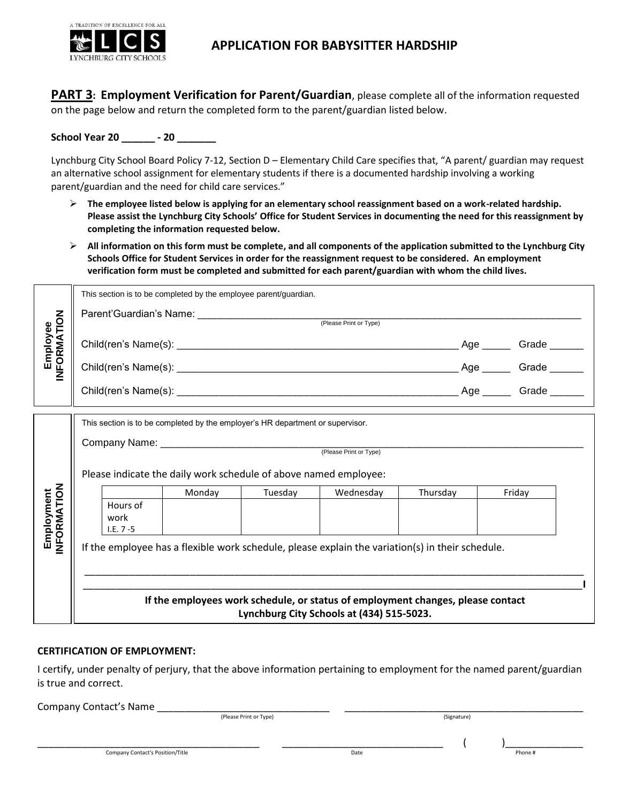

# **APPLICATION FOR BABYSITTER HARDSHIP**

**PART 3: Employment Verification for Parent/Guardian**, please complete all of the information requested on the page below and return the completed form to the parent/guardian listed below.

**School Year 20 \_\_\_\_\_\_ - 20 \_\_\_\_\_\_\_** 

Lynchburg City School Board Policy 7-12, Section D – Elementary Child Care specifies that, "A parent/ guardian may request an alternative school assignment for elementary students if there is a documented hardship involving a working parent/guardian and the need for child care services."

- **The employee listed below is applying for an elementary school reassignment based on a work-related hardship. Please assist the Lynchburg City Schools' Office for Student Services in documenting the need for this reassignment by completing the information requested below.**
- **All information on this form must be complete, and all components of the application submitted to the Lynchburg City Schools Office for Student Services in order for the reassignment request to be considered. An employment verification form must be completed and submitted for each parent/guardian with whom the child lives.**

| Employee<br>INFORMATION   | This section is to be completed by the employee parent/guardian.                                                                                   |        |         |           |          |                         |  |
|---------------------------|----------------------------------------------------------------------------------------------------------------------------------------------------|--------|---------|-----------|----------|-------------------------|--|
|                           |                                                                                                                                                    |        |         |           |          |                         |  |
|                           |                                                                                                                                                    |        |         |           |          |                         |  |
|                           |                                                                                                                                                    |        |         |           |          | Age ______ Grade ______ |  |
|                           |                                                                                                                                                    |        |         |           |          |                         |  |
|                           | This section is to be completed by the employer's HR department or supervisor.<br>Please indicate the daily work schedule of above named employee: |        |         |           |          |                         |  |
| Employment<br>INFORMATION |                                                                                                                                                    | Monday | Tuesday | Wednesday | Thursday | Friday                  |  |
|                           | Hours of<br>work<br>$1.E. 7 - 5$                                                                                                                   |        |         |           |          |                         |  |
|                           | If the employee has a flexible work schedule, please explain the variation(s) in their schedule.                                                   |        |         |           |          |                         |  |
|                           |                                                                                                                                                    |        |         |           |          |                         |  |
|                           | If the employees work schedule, or status of employment changes, please contact<br>Lynchburg City Schools at (434) 515-5023.                       |        |         |           |          |                         |  |

#### **CERTIFICATION OF EMPLOYMENT:**

I certify, under penalty of perjury, that the above information pertaining to employment for the named parent/guardian is true and correct.

Company Contact's Name \_\_\_\_\_\_\_\_\_\_\_\_\_\_\_\_\_\_\_\_\_\_\_\_\_\_\_\_\_\_\_ \_\_\_\_\_\_\_\_\_\_\_\_\_\_\_\_\_\_\_\_\_\_\_\_\_\_\_\_\_\_\_\_\_\_\_\_\_\_\_\_\_\_\_

| (Please Print or Type) | (Signature) |
|------------------------|-------------|
|                        |             |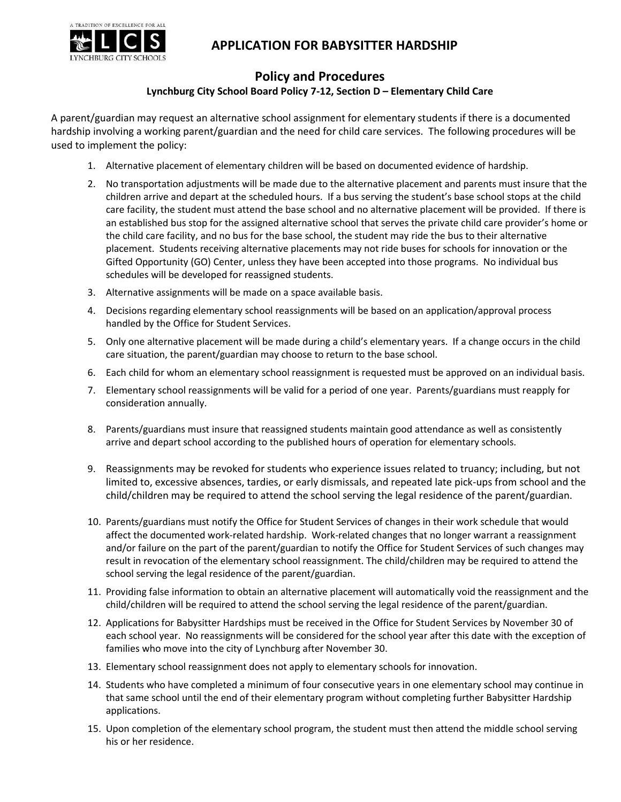

# **APPLICATION FOR BABYSITTER HARDSHIP**

## **Policy and Procedures**

#### **Lynchburg City School Board Policy 7-12, Section D – Elementary Child Care**

A parent/guardian may request an alternative school assignment for elementary students if there is a documented hardship involving a working parent/guardian and the need for child care services. The following procedures will be used to implement the policy:

- 1. Alternative placement of elementary children will be based on documented evidence of hardship.
- 2. No transportation adjustments will be made due to the alternative placement and parents must insure that the children arrive and depart at the scheduled hours. If a bus serving the student's base school stops at the child care facility, the student must attend the base school and no alternative placement will be provided. If there is an established bus stop for the assigned alternative school that serves the private child care provider's home or the child care facility, and no bus for the base school, the student may ride the bus to their alternative placement. Students receiving alternative placements may not ride buses for schools for innovation or the Gifted Opportunity (GO) Center, unless they have been accepted into those programs. No individual bus schedules will be developed for reassigned students.
- 3. Alternative assignments will be made on a space available basis.
- 4. Decisions regarding elementary school reassignments will be based on an application/approval process handled by the Office for Student Services.
- 5. Only one alternative placement will be made during a child's elementary years. If a change occurs in the child care situation, the parent/guardian may choose to return to the base school.
- 6. Each child for whom an elementary school reassignment is requested must be approved on an individual basis.
- 7. Elementary school reassignments will be valid for a period of one year. Parents/guardians must reapply for consideration annually.
- 8. Parents/guardians must insure that reassigned students maintain good attendance as well as consistently arrive and depart school according to the published hours of operation for elementary schools.
- 9. Reassignments may be revoked for students who experience issues related to truancy; including, but not limited to, excessive absences, tardies, or early dismissals, and repeated late pick-ups from school and the child/children may be required to attend the school serving the legal residence of the parent/guardian.
- 10. Parents/guardians must notify the Office for Student Services of changes in their work schedule that would affect the documented work-related hardship. Work-related changes that no longer warrant a reassignment and/or failure on the part of the parent/guardian to notify the Office for Student Services of such changes may result in revocation of the elementary school reassignment. The child/children may be required to attend the school serving the legal residence of the parent/guardian.
- 11. Providing false information to obtain an alternative placement will automatically void the reassignment and the child/children will be required to attend the school serving the legal residence of the parent/guardian.
- 12. Applications for Babysitter Hardships must be received in the Office for Student Services by November 30 of each school year. No reassignments will be considered for the school year after this date with the exception of families who move into the city of Lynchburg after November 30.
- 13. Elementary school reassignment does not apply to elementary schools for innovation.
- 14. Students who have completed a minimum of four consecutive years in one elementary school may continue in that same school until the end of their elementary program without completing further Babysitter Hardship applications.
- 15. Upon completion of the elementary school program, the student must then attend the middle school serving his or her residence.